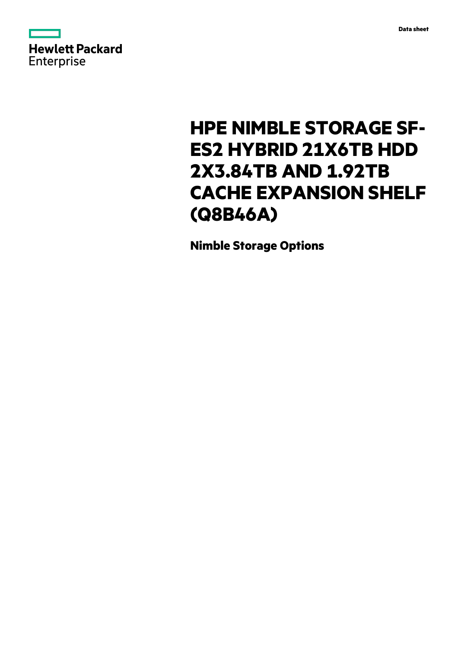



# **HPE NIMBLE STORAGE SF-ES2 HYBRID 21X6TB HDD 2X3.84TB AND 1.92TB CACHE EXPANSION SHELF (Q8B46A)**

**Nimble Storage Options**